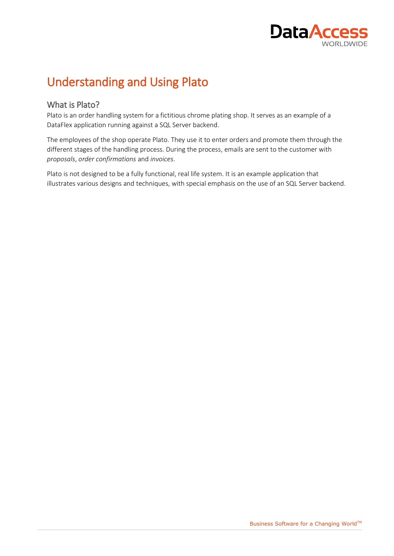

# <span id="page-0-0"></span>Understanding and Using Plato

### <span id="page-0-1"></span>What is Plato?

Plato is an order handling system for a fictitious chrome plating shop. It serves as an example of a DataFlex application running against a SQL Server backend.

The employees of the shop operate Plato. They use it to enter orders and promote them through the different stages of the handling process. During the process, emails are sent to the customer with *proposals*, *order confirmations* and *invoices*.

Plato is not designed to be a fully functional, real life system. It is an example application that illustrates various designs and techniques, with special emphasis on the use of an SQL Server backend.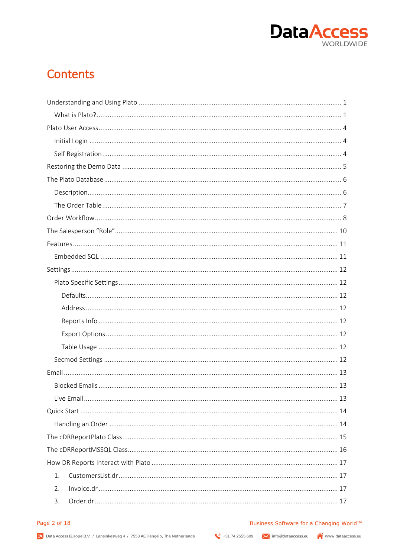

## **Contents**

| $\mathbf{1}$ . |  |
|----------------|--|
| 2.             |  |
| 3.             |  |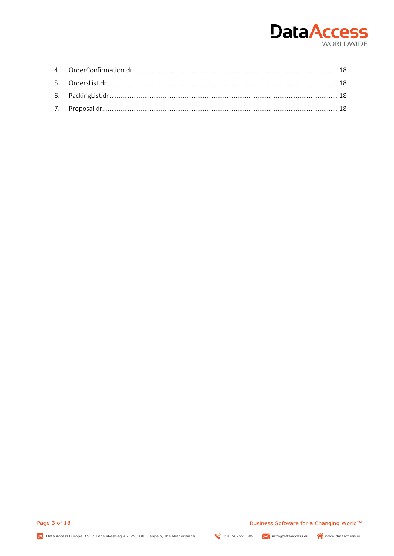

Page 3 of 18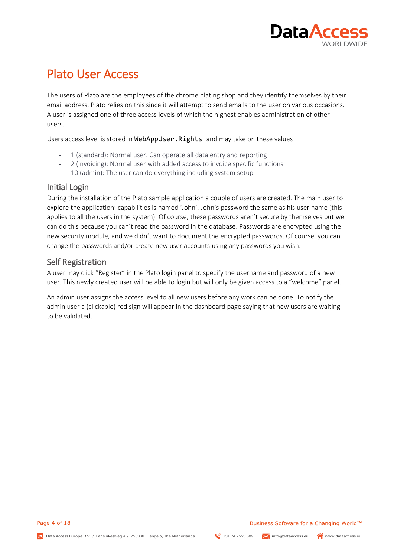

## <span id="page-3-0"></span>Plato User Access

The users of Plato are the employees of the chrome plating shop and they identify themselves by their email address. Plato relies on this since it will attempt to send emails to the user on various occasions. A user is assigned one of three access levels of which the highest enables administration of other users.

Users access level is stored in WebAppUser. Rights and may take on these values

- 1 (standard): Normal user. Can operate all data entry and reporting
- 2 (invoicing): Normal user with added access to invoice specific functions
- 10 (admin): The user can do everything including system setup

#### <span id="page-3-1"></span>Initial Login

During the installation of the Plato sample application a couple of users are created. The main user to explore the application' capabilities is named 'John'. John's password the same as his user name (this applies to all the users in the system). Of course, these passwords aren't secure by themselves but we can do this because you can't read the password in the database. Passwords are encrypted using the new security module, and we didn't want to document the encrypted passwords. Of course, you can change the passwords and/or create new user accounts using any passwords you wish.

### <span id="page-3-2"></span>Self Registration

A user may click "Register" in the Plato login panel to specify the username and password of a new user. This newly created user will be able to login but will only be given access to a "welcome" panel.

An admin user assigns the access level to all new users before any work can be done. To notify the admin user a (clickable) red sign will appear in the dashboard page saying that new users are waiting to be validated.

Page 4 of 18

z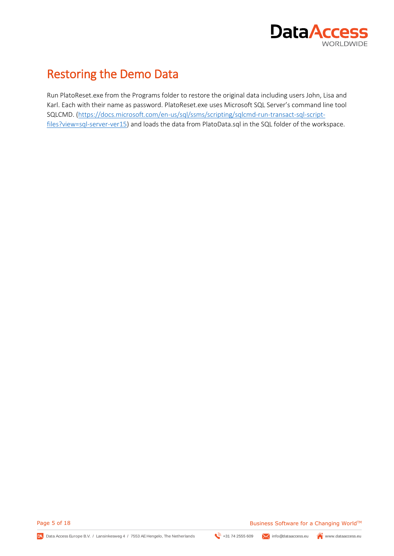

## <span id="page-4-0"></span>Restoring the Demo Data

Run PlatoReset.exe from the Programs folder to restore the original data including users John, Lisa and Karl. Each with their name as password. PlatoReset.exe uses Microsoft SQL Server's command line tool SQLCMD. [\(https://docs.microsoft.com/en-us/sql/ssms/scripting/sqlcmd-run-transact-sql-script](https://docs.microsoft.com/en-us/sql/ssms/scripting/sqlcmd-run-transact-sql-script-files?view=sql-server-ver15)[files?view=sql-server-ver15\)](https://docs.microsoft.com/en-us/sql/ssms/scripting/sqlcmd-run-transact-sql-script-files?view=sql-server-ver15) and loads the data from PlatoData.sql in the SQL folder of the workspace.

Page 5 of 18

z

Data Access Europe B.V. / Lansinkesweg 4 / 7553 AE Hengelo, The Netherlands  $\mathbb{R}^n$ +31 74 2555 609  $\blacktriangleright$  info@dataaccess.eu www.dataaccess.eu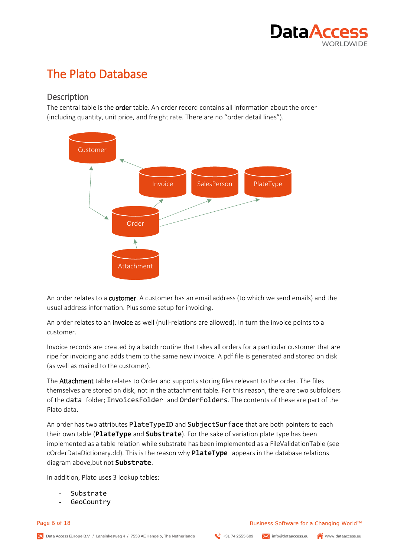

# <span id="page-5-0"></span>The Plato Database

### <span id="page-5-1"></span>**Description**

The central table is the order table. An order record contains all information about the order (including quantity, unit price, and freight rate. There are no "order detail lines").



An order relates to a customer. A customer has an email address (to which we send emails) and the usual address information. Plus some setup for invoicing.

An order relates to an invoice as well (null-relations are allowed). In turn the invoice points to a customer.

Invoice records are created by a batch routine that takes all orders for a particular customer that are ripe for invoicing and adds them to the same new invoice. A pdf file is generated and stored on disk (as well as mailed to the customer).

The Attachment table relates to Order and supports storing files relevant to the order. The files themselves are stored on disk, not in the attachment table. For this reason, there are two subfolders of the data folder; InvoicesFolder and OrderFolders. The contents of these are part of the Plato data.

An order has two attributes PlateTypeID and SubjectSurface that are both pointers to each their own table (**PlateType** and **Substrate**). For the sake of variation plate type has been implemented as a table relation while substrate has been implemented as a FileValidationTable (see cOrderDataDictionary.dd). This is the reason why **PlateType** appears in the database relations diagram above,but not **Substrate**.

In addition, Plato uses 3 lookup tables:

Substrate

z

**GeoCountry** 

Page 6 of 18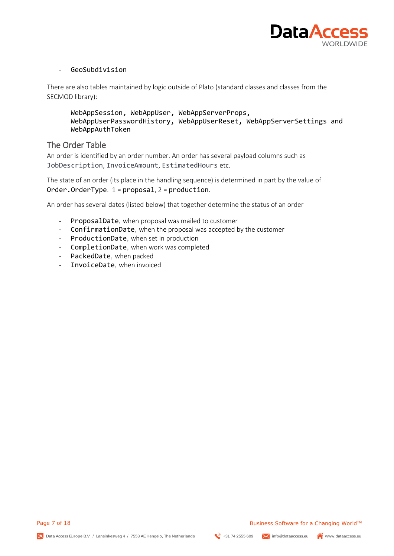

#### - GeoSubdivision

There are also tables maintained by logic outside of Plato (standard classes and classes from the SECMOD library):

WebAppSession, WebAppUser, WebAppServerProps, WebAppUserPasswordHistory, WebAppUserReset, WebAppServerSettings and WebAppAuthToken

### <span id="page-6-0"></span>The Order Table

An order is identified by an order number. An order has several payload columns such as JobDescription, InvoiceAmount, EstimatedHours etc.

The state of an order (its place in the handling sequence) is determined in part by the value of Order.OrderType. 1 = proposal, 2 = production.

An order has several dates (listed below) that together determine the status of an order

- ProposalDate, when proposal was mailed to customer
- ConfirmationDate, when the proposal was accepted by the customer
- ProductionDate, when set in production
- CompletionDate, when work was completed
- PackedDate, when packed
- InvoiceDate, when invoiced

Page 7 of 18

z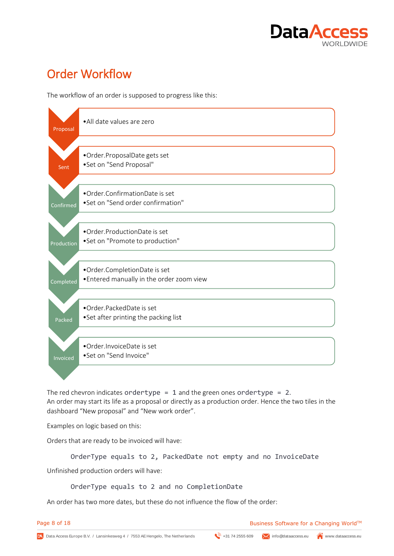

# <span id="page-7-0"></span>Order Workflow

The workflow of an order is supposed to progress like this:



The red chevron indicates ordertype = 1 and the green ones ordertype = 2. An order may start its life as a proposal or directly as a production order. Hence the two tiles in the dashboard "New proposal" and "New work order".

Examples on logic based on this:

Orders that are ready to be invoiced will have:

OrderType equals to 2, PackedDate not empty and no InvoiceDate Unfinished production orders will have:

OrderType equals to 2 and no CompletionDate

An order has two more dates, but these do not influence the flow of the order:

z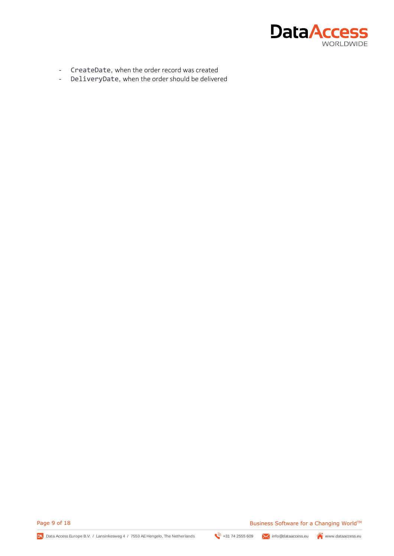

- CreateDate, when the order record was created
- DeliveryDate, when the order should be delivered

Page 9 of 18

z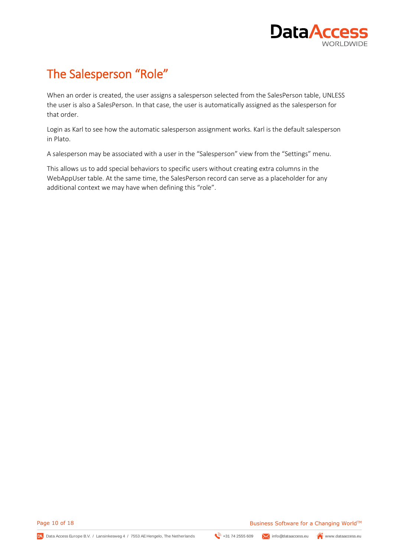

# <span id="page-9-0"></span>The Salesperson "Role"

When an order is created, the user assigns a salesperson selected from the SalesPerson table, UNLESS the user is also a SalesPerson. In that case, the user is automatically assigned as the salesperson for that order.

Login as Karl to see how the automatic salesperson assignment works. Karl is the default salesperson in Plato.

A salesperson may be associated with a user in the "Salesperson" view from the "Settings" menu.

This allows us to add special behaviors to specific users without creating extra columns in the WebAppUser table. At the same time, the SalesPerson record can serve as a placeholder for any additional context we may have when defining this "role".

Page 10 of 18

z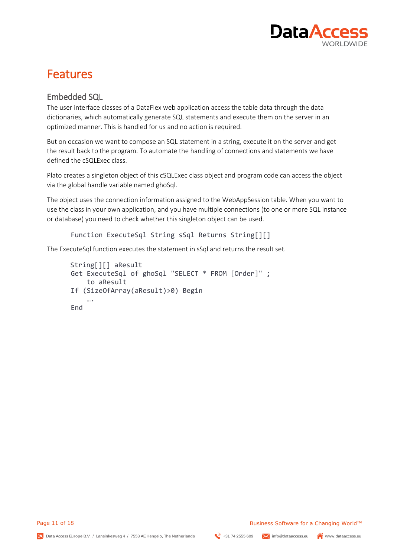

## <span id="page-10-0"></span>Features

## <span id="page-10-1"></span>Embedded SQL

The user interface classes of a DataFlex web application access the table data through the data dictionaries, which automatically generate SQL statements and execute them on the server in an optimized manner. This is handled for us and no action is required.

But on occasion we want to compose an SQL statement in a string, execute it on the server and get the result back to the program. To automate the handling of connections and statements we have defined the cSQLExec class.

Plato creates a singleton object of this cSQLExec class object and program code can access the object via the global handle variable named ghoSql.

The object uses the connection information assigned to the WebAppSession table. When you want to use the class in your own application, and you have multiple connections (to one or more SQL instance or database) you need to check whether this singleton object can be used.

```
Function ExecuteSql String sSql Returns String[][]
```
The ExecuteSql function executes the statement in sSql and returns the result set.

```
String[][] aResult
Get ExecuteSql of ghoSql "SELECT * FROM [Order]" ;
     to aResult
If (SizeOfArray(aResult)>0) Begin
 ….
End
```
Page 11 of 18

z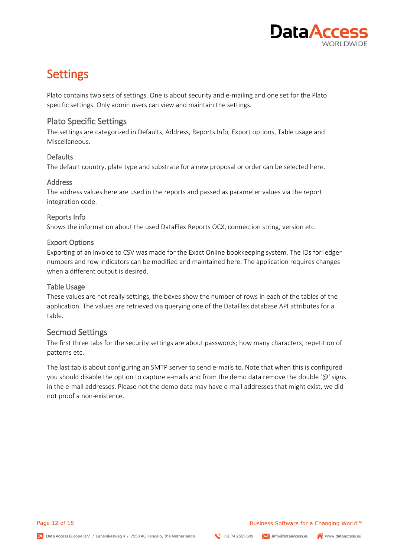

## <span id="page-11-0"></span>Settings

Plato contains two sets of settings. One is about security and e-mailing and one set for the Plato specific settings. Only admin users can view and maintain the settings.

### <span id="page-11-1"></span>Plato Specific Settings

The settings are categorized in Defaults, Address, Reports Info, Export options, Table usage and Miscellaneous.

#### <span id="page-11-2"></span>Defaults

The default country, plate type and substrate for a new proposal or order can be selected here.

#### <span id="page-11-3"></span>Address

The address values here are used in the reports and passed as parameter values via the report integration code.

#### <span id="page-11-4"></span>Reports Info

Shows the information about the used DataFlex Reports OCX, connection string, version etc.

#### <span id="page-11-5"></span>Export Options

Exporting of an invoice to CSV was made for the Exact Online bookkeeping system. The IDs for ledger numbers and row indicators can be modified and maintained here. The application requires changes when a different output is desired.

#### <span id="page-11-6"></span>Table Usage

These values are not really settings, the boxes show the number of rows in each of the tables of the application. The values are retrieved via querying one of the DataFlex database API attributes for a table.

#### <span id="page-11-7"></span>Secmod Settings

The first three tabs for the security settings are about passwords; how many characters, repetition of patterns etc.

The last tab is about configuring an SMTP server to send e-mails to. Note that when this is configured you should disable the option to capture e-mails and from the demo data remove the double '@' signs in the e-mail addresses. Please not the demo data may have e-mail addresses that might exist, we did not proof a non-existence.

Page 12 of 18

z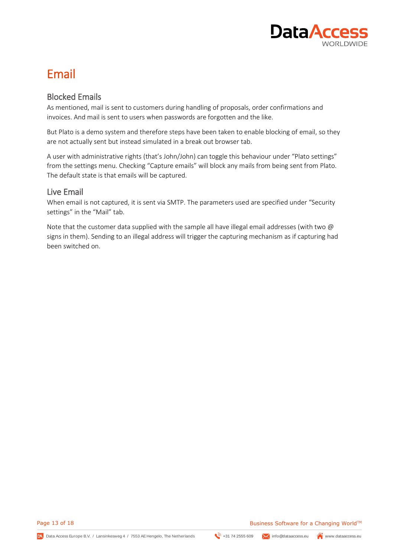

## <span id="page-12-0"></span>Email

## <span id="page-12-1"></span>Blocked Emails

As mentioned, mail is sent to customers during handling of proposals, order confirmations and invoices. And mail is sent to users when passwords are forgotten and the like.

But Plato is a demo system and therefore steps have been taken to enable blocking of email, so they are not actually sent but instead simulated in a break out browser tab.

A user with administrative rights (that's John/John) can toggle this behaviour under "Plato settings" from the settings menu. Checking "Capture emails" will block any mails from being sent from Plato. The default state is that emails will be captured.

### <span id="page-12-2"></span>Live Email

When email is not captured, it is sent via SMTP. The parameters used are specified under "Security settings" in the "Mail" tab.

Note that the customer data supplied with the sample all have illegal email addresses (with two @ signs in them). Sending to an illegal address will trigger the capturing mechanism as if capturing had been switched on.

z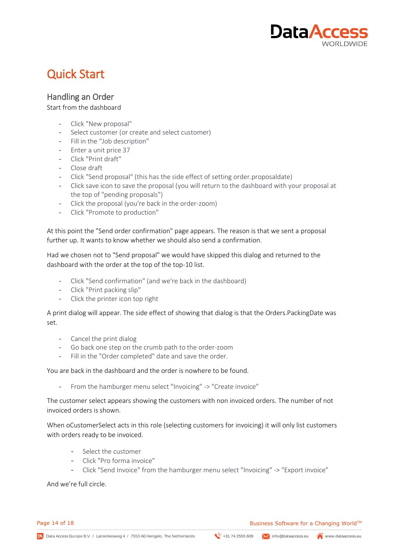

# <span id="page-13-0"></span>Quick Start

## <span id="page-13-1"></span>Handling an Order

#### Start from the dashboard

- Click "New proposal"
- Select customer (or create and select customer)
- Fill in the "Job description"
- Enter a unit price 37
- Click "Print draft"
- Close draft
- Click "Send proposal" (this has the side effect of setting order.proposaldate)
- Click save icon to save the proposal (you will return to the dashboard with your proposal at the top of "pending proposals")
- Click the proposal (you're back in the order-zoom)
- Click "Promote to production"

At this point the "Send order confirmation" page appears. The reason is that we sent a proposal further up. It wants to know whether we should also send a confirmation.

Had we chosen not to "Send proposal" we would have skipped this dialog and returned to the dashboard with the order at the top of the top-10 list.

- Click "Send confirmation" (and we're back in the dashboard)
- Click "Print packing slip"
- Click the printer icon top right

A print dialog will appear. The side effect of showing that dialog is that the Orders.PackingDate was set.

- Cancel the print dialog
- Go back one step on the crumb path to the order-zoom
- Fill in the "Order completed" date and save the order.

#### You are back in the dashboard and the order is nowhere to be found.

- From the hamburger menu select "Invoicing" -> "Create invoice"

The customer select appears showing the customers with non invoiced orders. The number of not invoiced orders is shown.

When oCustomerSelect acts in this role (selecting customers for invoicing) it will only list customers with orders ready to be invoiced.

- Select the customer
- Click "Pro forma invoice"
- Click "Send Invoice" from the hamburger menu select "Invoicing" -> "Export invoice"

And we're full circle.

z

Page 14 of 18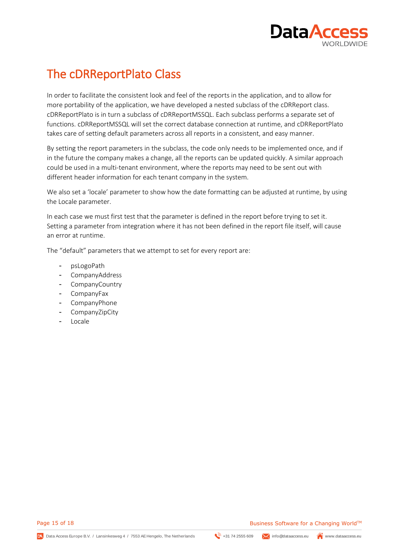

# <span id="page-14-0"></span>The cDRReportPlato Class

In order to facilitate the consistent look and feel of the reports in the application, and to allow for more portability of the application, we have developed a nested subclass of the cDRReport class. cDRReportPlato is in turn a subclass of cDRReportMSSQL. Each subclass performs a separate set of functions. cDRReportMSSQL will set the correct database connection at runtime, and cDRReportPlato takes care of setting default parameters across all reports in a consistent, and easy manner.

By setting the report parameters in the subclass, the code only needs to be implemented once, and if in the future the company makes a change, all the reports can be updated quickly. A similar approach could be used in a multi-tenant environment, where the reports may need to be sent out with different header information for each tenant company in the system.

We also set a 'locale' parameter to show how the date formatting can be adjusted at runtime, by using the Locale parameter.

In each case we must first test that the parameter is defined in the report before trying to set it. Setting a parameter from integration where it has not been defined in the report file itself, will cause an error at runtime.

The "default" parameters that we attempt to set for every report are:

- psLogoPath
- CompanyAddress
- CompanyCountry
- CompanyFax
- CompanyPhone
- CompanyZipCity
- Locale

Page 15 of 18

z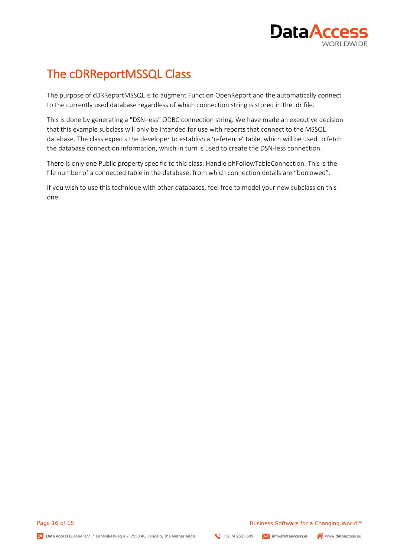

# <span id="page-15-0"></span>The cDRReportMSSQL Class

The purpose of cDRReportMSSQL is to augment Function OpenReport and the automatically connect to the currently used database regardless of which connection string is stored in the .dr file.

This is done by generating a "DSN-less" ODBC connection string. We have made an executive decision that this example subclass will only be intended for use with reports that connect to the MSSQL database. The class expects the developer to establish a 'reference' table, which will be used to fetch the database connection information, which in turn is used to create the DSN-less connection.

There is only one Public property specific to this class: Handle phFollowTableConnection. This is the file number of a connected table in the database, from which connection details are "borrowed".

If you wish to use this technique with other databases, feel free to model your new subclass on this one.

Page 16 of 18

z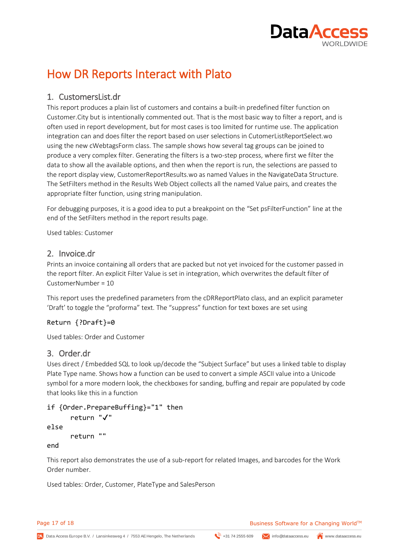

## <span id="page-16-0"></span>How DR Reports Interact with Plato

## <span id="page-16-1"></span>1. CustomersList.dr

This report produces a plain list of customers and contains a built-in predefined filter function on Customer.City but is intentionally commented out. That is the most basic way to filter a report, and is often used in report development, but for most cases is too limited for runtime use. The application integration can and does filter the report based on user selections in CutomerListReportSelect.wo using the new cWebtagsForm class. The sample shows how several tag groups can be joined to produce a very complex filter. Generating the filters is a two-step process, where first we filter the data to show all the available options, and then when the report is run, the selections are passed to the report display view, CustomerReportResults.wo as named Values in the NavigateData Structure. The SetFilters method in the Results Web Object collects all the named Value pairs, and creates the appropriate filter function, using string manipulation.

For debugging purposes, it is a good idea to put a breakpoint on the "Set psFilterFunction" line at the end of the SetFilters method in the report results page.

Used tables: Customer

#### <span id="page-16-2"></span>2. Invoice.dr

Prints an invoice containing all orders that are packed but not yet invoiced for the customer passed in the report filter. An explicit Filter Value is set in integration, which overwrites the default filter of CustomerNumber = 10

This report uses the predefined parameters from the cDRReportPlato class, and an explicit parameter 'Draft' to toggle the "proforma" text. The "suppress" function for text boxes are set using

#### Return {?Draft}=0

Used tables: Order and Customer

### <span id="page-16-3"></span>3. Order.dr

Uses direct / Embedded SQL to look up/decode the "Subject Surface" but uses a linked table to display Plate Type name. Shows how a function can be used to convert a simple ASCII value into a Unicode symbol for a more modern look, the checkboxes for sanding, buffing and repair are populated by code that looks like this in a function

```
if {Order.PrepareBuffing}="1" then
     return "✔"
```

```
else
```

```
return ""
```
z

end

This report also demonstrates the use of a sub-report for related Images, and barcodes for the Work Order number.

Used tables: Order, Customer, PlateType and SalesPerson

Page 17 of 18